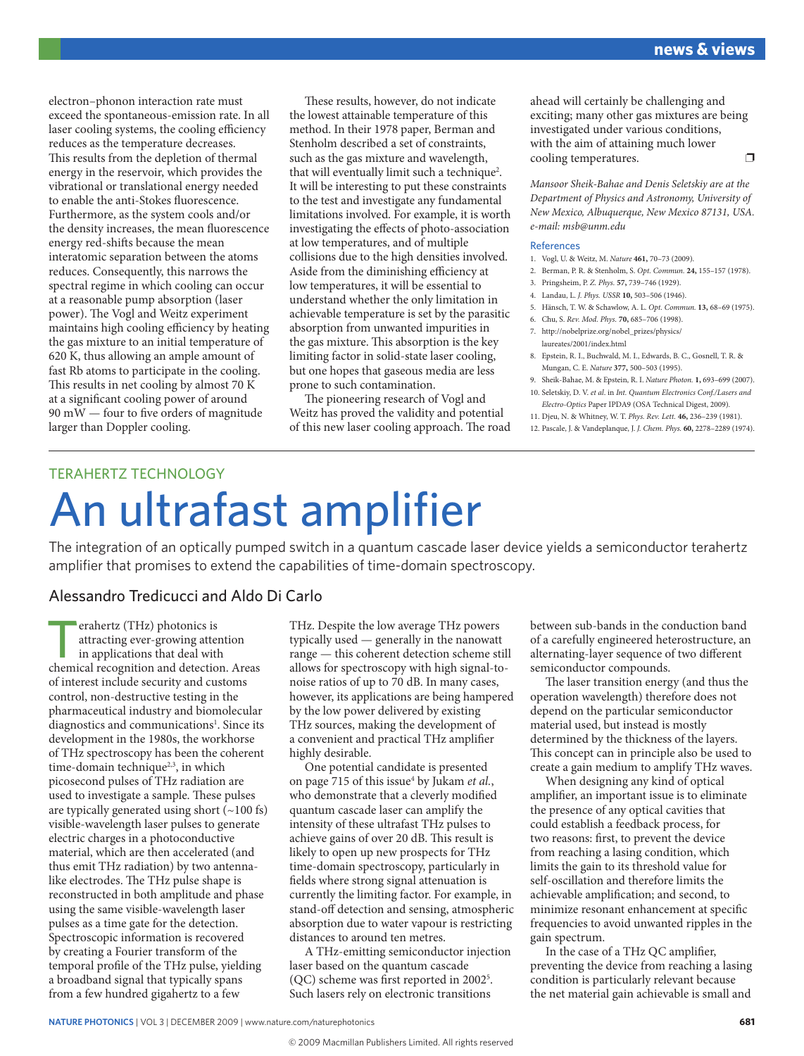electron–phonon interaction rate must exceed the spontaneous-emission rate. In all laser cooling systems, the cooling efficiency reduces as the temperature decreases. This results from the depletion of thermal energy in the reservoir, which provides the vibrational or translational energy needed to enable the anti-Stokes fluorescence. Furthermore, as the system cools and/or the density increases, the mean fluorescence energy red-shifts because the mean interatomic separation between the atoms reduces. Consequently, this narrows the spectral regime in which cooling can occur at a reasonable pump absorption (laser power). The Vogl and Weitz experiment maintains high cooling efficiency by heating the gas mixture to an initial temperature of 620 K, thus allowing an ample amount of fast Rb atoms to participate in the cooling. This results in net cooling by almost 70 K at a significant cooling power of around 90 mW — four to five orders of magnitude larger than Doppler cooling.

These results, however, do not indicate the lowest attainable temperature of this method. In their 1978 paper, Berman and Stenholm described a set of constraints, such as the gas mixture and wavelength, that will eventually limit such a technique<sup>2</sup>. It will be interesting to put these constraints to the test and investigate any fundamental limitations involved. For example, it is worth investigating the effects of photo-association at low temperatures, and of multiple collisions due to the high densities involved. Aside from the diminishing efficiency at low temperatures, it will be essential to understand whether the only limitation in achievable temperature is set by the parasitic absorption from unwanted impurities in the gas mixture. This absorption is the key limiting factor in solid-state laser cooling, but one hopes that gaseous media are less prone to such contamination.

The pioneering research of Vogl and Weitz has proved the validity and potential of this new laser cooling approach. The road

ahead will certainly be challenging and exciting; many other gas mixtures are being investigated under various conditions, with the aim of attaining much lower  $\Box$  cooling temperatures.  $\Box$ 

*Mansoor Sheik-Bahae and Denis Seletskiy are at the Department of Physics and Astronomy, University of New Mexico, Albuquerque, New Mexico 87131, USA. e-mail: [msb@unm.edu](mailto:msb@unm.edu)*

## **References**

- 1. Vogl, U. & Weitz, M. *Nature* **461,** 70–73 (2009).
- 2. Berman, P. R. & Stenholm, S. *Opt. Commun.* **24,** 155–157 (1978).
- 3. Pringsheim, P. *Z. Phys.* **57,** 739–746 (1929).
- 4. Landau, L. *J. Phys. USSR* **10,** 503–506 (1946).
- 5. Hänsch, T. W. & Schawlow, A. L. *Opt. Commun.* **13,** 68–69 (1975).
- 6. Chu, S. *Rev. Mod. Phys.* **70,** 685–706 (1998). 7. [http://nobelprize.org/nobel\\_prizes/physics/](http://nobelprize.org/nobel_prizes/physics/ laureates/2001/index.html)
- [laureates/2001/index.html](http://nobelprize.org/nobel_prizes/physics/ laureates/2001/index.html)
- 8. Epstein, R. I., Buchwald, M. I., Edwards, B. C., Gosnell, T. R. & Mungan, C. E. *Nature* **377,** 500–503 (1995).
- 9. Sheik-Bahae, M. & Epstein, R. I. *Nature Photon.* **1,** 693–699 (2007).
- 10. Seletskiy, D. V. *et al*. in *Int. Quantum Electronics Conf./Lasers and Electro-Optics* Paper IPDA9 (OSA Technical Digest, 2009)*.*
- 11. Djeu, N. & Whitney, W. T. *Phys. Rev. Lett.* **46,** 236–239 (1981).
- 12. Pascale, J. & Vandeplanque, J. *J. Chem. Phys.* **60,** 2278–2289 (1974).

## TeraHerTZ TeCHnoLogY an ultrafast amplifier

The integration of an optically pumped switch in a quantum cascade laser device yields a semiconductor terahertz amplifier that promises to extend the capabilities of time-domain spectroscopy.

## alessandro Tredicucci and aldo Di Carlo

erahertz (THz) photonics is attracting ever-growing attention in applications that deal with chemical recognition and detection. Areas of interest include security and customs control, non-destructive testing in the pharmaceutical industry and biomolecular diagnostics and communications<sup>1</sup>. Since its development in the 1980s, the workhorse of THz spectroscopy has been the coherent time-domain technique<sup>2,3</sup>, in which picosecond pulses of THz radiation are used to investigate a sample. These pulses are typically generated using short  $(-100 \text{ fs})$ visible-wavelength laser pulses to generate electric charges in a photoconductive material, which are then accelerated (and thus emit THz radiation) by two antennalike electrodes. The THz pulse shape is reconstructed in both amplitude and phase using the same visible-wavelength laser pulses as a time gate for the detection. Spectroscopic information is recovered by creating a Fourier transform of the temporal profile of the THz pulse, yielding a broadband signal that typically spans from a few hundred gigahertz to a few

THz. Despite the low average THz powers typically used — generally in the nanowatt range — this coherent detection scheme still allows for spectroscopy with high signal-tonoise ratios of up to 70 dB. In many cases, however, its applications are being hampered by the low power delivered by existing THz sources, making the development of a convenient and practical THz amplifier highly desirable.

One potential candidate is presented on page 715 of this issue<sup>4</sup> by Jukam *et al.*, who demonstrate that a cleverly modified quantum cascade laser can amplify the intensity of these ultrafast THz pulses to achieve gains of over 20 dB. This result is likely to open up new prospects for THz time-domain spectroscopy, particularly in fields where strong signal attenuation is currently the limiting factor. For example, in stand-off detection and sensing, atmospheric absorption due to water vapour is restricting distances to around ten metres.

A THz-emitting semiconductor injection laser based on the quantum cascade (QC) scheme was first reported in 20025 . Such lasers rely on electronic transitions

between sub-bands in the conduction band of a carefully engineered heterostructure, an alternating-layer sequence of two different semiconductor compounds.

The laser transition energy (and thus the operation wavelength) therefore does not depend on the particular semiconductor material used, but instead is mostly determined by the thickness of the layers. This concept can in principle also be used to create a gain medium to amplify THz waves.

When designing any kind of optical amplifier, an important issue is to eliminate the presence of any optical cavities that could establish a feedback process, for two reasons: first, to prevent the device from reaching a lasing condition, which limits the gain to its threshold value for self-oscillation and therefore limits the achievable amplification; and second, to minimize resonant enhancement at specific frequencies to avoid unwanted ripples in the gain spectrum.

In the case of a THz QC amplifier, preventing the device from reaching a lasing condition is particularly relevant because the net material gain achievable is small and